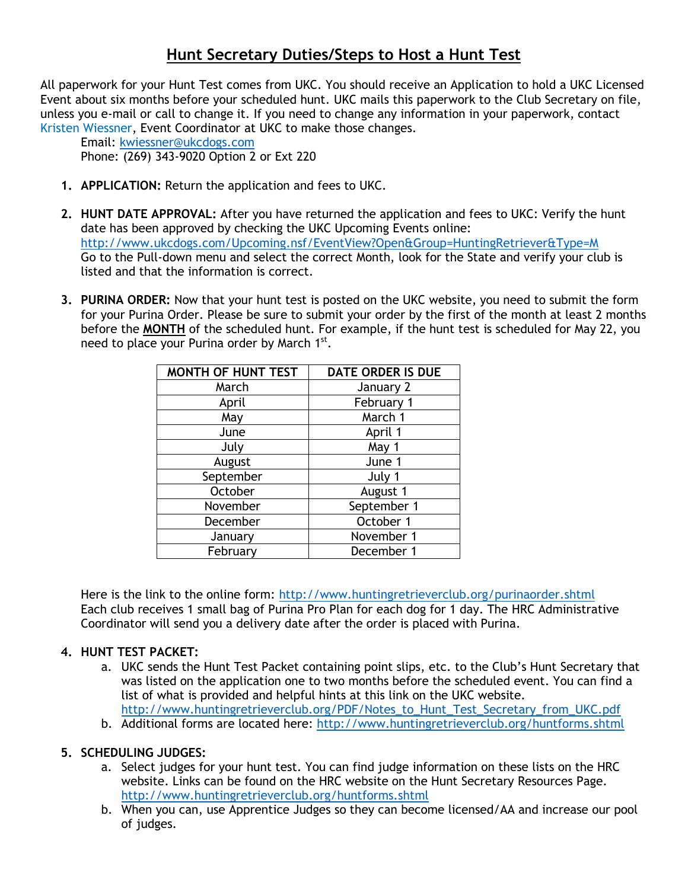# **Hunt Secretary Duties/Steps to Host a Hunt Test**

All paperwork for your Hunt Test comes from UKC. You should receive an Application to hold a UKC Licensed Event about six months before your scheduled hunt. UKC mails this paperwork to the Club Secretary on file, unless you e-mail or call to change it. If you need to change any information in your paperwork, contact Kristen Wiessner, Event Coordinator at UKC to make those changes.

Email: [kwiessner@ukcdogs.com](mailto:kwiessner@ukcdogs.com) Phone: (269) 343-9020 Option 2 or Ext 220

- **1. APPLICATION:** Return the application and fees to UKC.
- **2. HUNT DATE APPROVAL:** After you have returned the application and fees to UKC: Verify the hunt date has been approved by checking the UKC Upcoming Events online: <http://www.ukcdogs.com/Upcoming.nsf/EventView?Open&Group=HuntingRetriever&Type=M> Go to the Pull-down menu and select the correct Month, look for the State and verify your club is listed and that the information is correct.
- **3. PURINA ORDER:** Now that your hunt test is posted on the UKC website, you need to submit the form for your Purina Order. Please be sure to submit your order by the first of the month at least 2 months before the **MONTH** of the scheduled hunt. For example, if the hunt test is scheduled for May 22, you need to place your Purina order by March 1st.

| <b>MONTH OF HUNT TEST</b> | <b>DATE ORDER IS DUE</b> |  |  |  |  |
|---------------------------|--------------------------|--|--|--|--|
| March                     | January 2                |  |  |  |  |
| April                     | February 1               |  |  |  |  |
| May                       | March 1                  |  |  |  |  |
| June                      | April 1                  |  |  |  |  |
| July                      | May 1                    |  |  |  |  |
| August                    | June 1                   |  |  |  |  |
| September                 | July 1                   |  |  |  |  |
| October                   | August 1                 |  |  |  |  |
| November                  | September 1              |  |  |  |  |
| December                  | October 1                |  |  |  |  |
| January                   | November 1               |  |  |  |  |
| February                  | December 1               |  |  |  |  |

Here is the link to the online form:<http://www.huntingretrieverclub.org/purinaorder.shtml> Each club receives 1 small bag of Purina Pro Plan for each dog for 1 day. The HRC Administrative Coordinator will send you a delivery date after the order is placed with Purina.

## **4. HUNT TEST PACKET:**

- a. UKC sends the Hunt Test Packet containing point slips, etc. to the Club's Hunt Secretary that was listed on the application one to two months before the scheduled event. You can find a list of what is provided and helpful hints at this link on the UKC website. [http://www.huntingretrieverclub.org/PDF/Notes\\_to\\_Hunt\\_Test\\_Secretary\\_from\\_UKC.pdf](http://www.huntingretrieverclub.org/PDF/Notes_to_Hunt_Test_Secretary_from_UKC.pdf)
- b. Additional forms are located here:<http://www.huntingretrieverclub.org/huntforms.shtml>

## **5. SCHEDULING JUDGES:**

- a. Select judges for your hunt test. You can find judge information on these lists on the HRC website. Links can be found on the HRC website on the Hunt Secretary Resources Page. <http://www.huntingretrieverclub.org/huntforms.shtml>
- b. When you can, use Apprentice Judges so they can become licensed/AA and increase our pool of judges.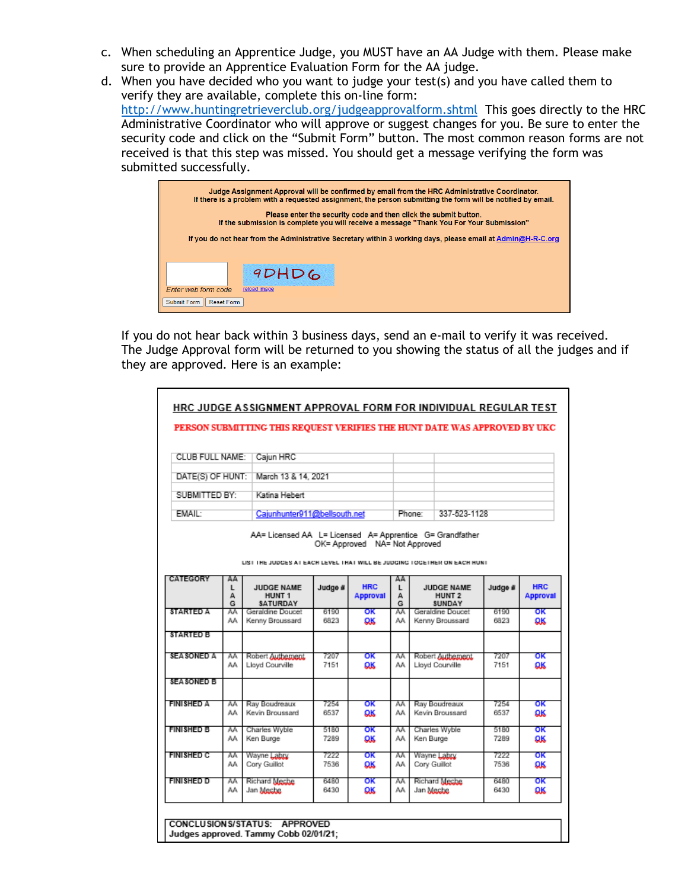- c. When scheduling an Apprentice Judge, you MUST have an AA Judge with them. Please make sure to provide an Apprentice Evaluation Form for the AA judge.
- d. When you have decided who you want to judge your test(s) and you have called them to verify they are available, complete this on-line form: <http://www.huntingretrieverclub.org/judgeapprovalform.shtml> This goes directly to the HRC Administrative Coordinator who will approve or suggest changes for you. Be sure to enter the security code and click on the "Submit Form" button. The most common reason forms are not received is that this step was missed. You should get a message verifying the form was submitted successfully.

| Judge Assignment Approval will be confirmed by email from the HRC Administrative Coordinator.<br>If there is a problem with a requested assignment, the person submitting the form will be notified by email. |  |  |  |  |  |
|---------------------------------------------------------------------------------------------------------------------------------------------------------------------------------------------------------------|--|--|--|--|--|
| Please enter the security code and then click the submit button.<br>If the submission is complete you will receive a message "Thank You For Your Submission"                                                  |  |  |  |  |  |
| If you do not hear from the Administrative Secretary within 3 working days, please email at Admin@H-R-C.org                                                                                                   |  |  |  |  |  |
|                                                                                                                                                                                                               |  |  |  |  |  |
| 9DHD6                                                                                                                                                                                                         |  |  |  |  |  |
| <b>Enter web form code</b><br>reload image                                                                                                                                                                    |  |  |  |  |  |
| Submit Form<br><b>Reset Form</b>                                                                                                                                                                              |  |  |  |  |  |

If you do not hear back within 3 business days, send an e-mail to verify it was received. The Judge Approval form will be returned to you showing the status of all the judges and if they are approved. Here is an example:

|                                |                              | PERSON SUBMITTING THIS REQUEST VERIFIES THE HUNT DATE WAS APPROVED BY UKC                                                             |                     |                               |                        |                                     |                                                         |              |                               |
|--------------------------------|------------------------------|---------------------------------------------------------------------------------------------------------------------------------------|---------------------|-------------------------------|------------------------|-------------------------------------|---------------------------------------------------------|--------------|-------------------------------|
| CLUB FULL NAME:                | Cajun HRC                    |                                                                                                                                       |                     |                               |                        |                                     |                                                         |              |                               |
| DATE(S) OF HUNT:               |                              |                                                                                                                                       | March 13 & 14, 2021 |                               |                        |                                     |                                                         |              |                               |
| SUBMITTED BY:<br>Katina Hebert |                              |                                                                                                                                       |                     |                               |                        |                                     |                                                         |              |                               |
| FMAII -                        | Caiunhunter911@bellsouth.net |                                                                                                                                       |                     |                               | 337-523-1128<br>Phone: |                                     |                                                         |              |                               |
|                                |                              | AA= Licensed AA L= Licensed A= Apprentice G= Grandfather<br>LIST THE JUDGES AT EACH LEVEL THAT WILL BE JUDGING TOGETHER ON EACH HUNT. |                     | OK= Approved NA= Not Approved |                        |                                     |                                                         |              |                               |
| CATEGORY                       | AA<br>L<br>А<br>G            | JUDGE NAME<br><b>HUNT 1</b><br><b>SATURDAY</b>                                                                                        | Judge #             | <b>HRC</b><br><b>Approval</b> | AA<br>L<br>А<br>G      |                                     | <b>JUDGE NAME</b><br>HUNT <sub>2</sub><br><b>SUNDAY</b> | Judge #      | <b>HRC</b><br><b>Approval</b> |
| STARTED A                      | Α٨<br>٨A                     | Geraldine Doucet<br>Kenny Broussard                                                                                                   | 6190<br>6823        | ОΚ<br>ΩK                      | ٨A<br>٨A               | Geraldine Doucet<br>Kenny Broussard |                                                         | 6190<br>6823 | оκ<br>ΩК                      |
| STARTED B                      |                              |                                                                                                                                       |                     |                               |                        |                                     |                                                         |              |                               |
| <b>SEA SONED A</b>             | ٨A<br>AΛ                     | Robert Authement<br>Lloyd Courville                                                                                                   | 7207<br>7151        | оκ<br>ΩK                      | ٨A<br>AΛ               |                                     | Robert Authement<br>Lloyd Courville                     | 7207<br>7151 | оκ<br>ΩK                      |
| SEA SONED B                    |                              |                                                                                                                                       |                     |                               |                        |                                     |                                                         |              |                               |
| <b>FINISHED A</b>              | м<br>AA.                     | Ray Boudreaux<br>Kevin Broussard                                                                                                      | 7254<br>6537        | ОΚ<br><b>OK</b>               | ٨A<br>٨A               | Ray Boudreaux<br>Kevin Broussard    |                                                         | 7254<br>6537 | ОΚ<br>ΩK                      |
| <b>FINISHED B</b>              | м<br>AA.                     | Charles Wyble<br>Ken Burge                                                                                                            | 5180<br>7289        | ОΚ<br><b>OK</b>               | ٨A<br>٨A               | Ken Burge                           | Charles Wyble                                           | 5180<br>7289 | ОΚ<br>QK                      |
| <b>FINISHED C</b>              | м<br>٨A                      | Wayne Labry<br>Cory Guillot                                                                                                           | 7222<br>7536        | ОΚ<br><b>OK</b>               | м<br>٨A                | Cory Guillot                        | Wayne Labry                                             | 7222<br>7536 | ОΚ<br>ΩK                      |
| FINISHED D                     | Α٨<br>٨A                     | Richard Meche<br>Jan Meche                                                                                                            | 6480<br>6430        | оκ<br><b>OK</b>               | Α٨<br>٨A               | Jan Meche                           | Richard Meche                                           | 6480<br>6430 | оκ<br>QK                      |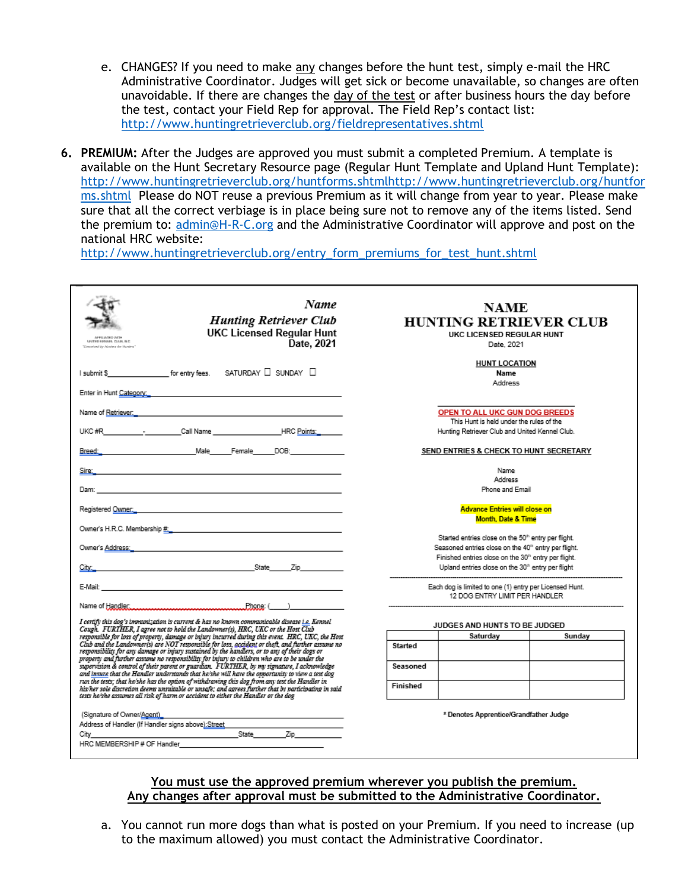- e. CHANGES? If you need to make any changes before the hunt test, simply e-mail the HRC Administrative Coordinator. Judges will get sick or become unavailable, so changes are often unavoidable. If there are changes the day of the test or after business hours the day before the test, contact your Field Rep for approval. The Field Rep's contact list: <http://www.huntingretrieverclub.org/fieldrepresentatives.shtml>
- **6. PREMIUM:** After the Judges are approved you must submit a completed Premium. A template is available on the Hunt Secretary Resource page (Regular Hunt Template and Upland Hunt Template): [http://www.huntingretrieverclub.org/huntforms.shtmlhttp://www.huntingretrieverclub.org/huntfor](http://www.huntingretrieverclub.org/huntforms.shtmlhttp:/www.huntingretrieverclub.org/huntforms.shtml) [ms.shtml](http://www.huntingretrieverclub.org/huntforms.shtmlhttp:/www.huntingretrieverclub.org/huntforms.shtml) Please do NOT reuse a previous Premium as it will change from year to year. Please make sure that all the correct verbiage is in place being sure not to remove any of the items listed. Send the premium to: [admin@H-R-C.org](mailto:admin@H-R-C.org) and the Administrative Coordinator will approve and post on the national HRC website:

[http://www.huntingretrieverclub.org/entry\\_form\\_premiums\\_for\\_test\\_hunt.shtml](http://www.huntingretrieverclub.org/entry_form_premiums_for_test_hunt.shtml)

| Name<br><b>Hunting Retriever Club</b><br><b>UKC Licensed Regular Hunt</b><br>APPEARING WITH<br>UNITED KENNEL CLUB, INC.<br>Date, 2021<br>Conceived by Menteur der Humbred                                                                                                                                                                                                                                                                                                                                       | NAME<br><b>HUNTING RETRIEVER CLUB</b><br>UKC LICENSED REGULAR HUNT<br>Date, 2021                                                                                                                                                                                         |  |  |  |  |
|-----------------------------------------------------------------------------------------------------------------------------------------------------------------------------------------------------------------------------------------------------------------------------------------------------------------------------------------------------------------------------------------------------------------------------------------------------------------------------------------------------------------|--------------------------------------------------------------------------------------------------------------------------------------------------------------------------------------------------------------------------------------------------------------------------|--|--|--|--|
| SATURDAY $\Box$ SUNDAY $\Box$<br>I submit \$ for entry fees.                                                                                                                                                                                                                                                                                                                                                                                                                                                    | <b>HUNT LOCATION</b><br>Name<br>Address                                                                                                                                                                                                                                  |  |  |  |  |
| Enter in Hunt Category: North Category: North Category: North Category: North Category: North Category: North Category: North Category: North Category: North Category: North Category: North Category: North Category: North<br>Name of <u>Retriever.</u>                                                                                                                                                                                                                                                      | OPEN TO ALL UKC GUN DOG BREEDS<br>This Hunt is held under the rules of the<br>Hunting Retriever Club and United Kennel Club.                                                                                                                                             |  |  |  |  |
| Breed: Breed: Male Female DOB:                                                                                                                                                                                                                                                                                                                                                                                                                                                                                  | SEND ENTRIES & CHECK TO HUNT SECRETARY                                                                                                                                                                                                                                   |  |  |  |  |
| Sire:_<br>the control of the control of the control of the control of the control of the control of<br>Dam:<br>the control of the control of the control of the control of the control of the control of the control of the control of the control of the control of the control of the control of the control of the control of the control<br>Registered <u>Owner: Andreas and State and State and State and State and State and State and State and State and</u>                                            | Name<br>Address<br>Phone and Email<br><b>Advance Entries will close on</b>                                                                                                                                                                                               |  |  |  |  |
|                                                                                                                                                                                                                                                                                                                                                                                                                                                                                                                 | <b>Month, Date &amp; Time</b>                                                                                                                                                                                                                                            |  |  |  |  |
| Owner's <u>Address: The Community of the Community of the Community of the Community of the Community of the Community of the Community of the Community of the Community of the Community of the Community of the Community of </u><br><u>State</u> Zip<br>City:                                                                                                                                                                                                                                               | Started entries close on the 50 <sup>th</sup> entry per flight.<br>Seasoned entries close on the 40 <sup>th</sup> entry per flight.<br>Finished entries close on the 30 <sup>th</sup> entry per flight.<br>Upland entries close on the 30 <sup>th</sup> entry per flight |  |  |  |  |
| Name of Handler                                                                                                                                                                                                                                                                                                                                                                                                                                                                                                 | Each dog is limited to one (1) entry per Licensed Hunt.<br>12 DOG ENTRY LIMIT PER HANDLER.                                                                                                                                                                               |  |  |  |  |
| I certify this dog's immunization is current & has no known communicable disease i.e. Kennel<br>Cough. FURTHER, I agree not to hold the Landowner(s), HRC, UKC or the Host Club                                                                                                                                                                                                                                                                                                                                 | JUDGES AND HUNTS TO BE JUDGED                                                                                                                                                                                                                                            |  |  |  |  |
| responsible for loss of property, damage or injury incurred during this event. HRC, UKC, the Host                                                                                                                                                                                                                                                                                                                                                                                                               | Saturday<br>Sunday                                                                                                                                                                                                                                                       |  |  |  |  |
| Club and the Landowner(s) are NOT responsible for loss, accident or theft, and further assume no<br>responsibility for any damage or injury sustained by the handlers, or to any of their dogs or                                                                                                                                                                                                                                                                                                               | Started                                                                                                                                                                                                                                                                  |  |  |  |  |
| property and further assume no responsibility for injury to children who are to be under the<br>supervision & control of their parent or guardian. FURTHER, by my signature, I acknowledge<br>and <u>invare</u> that the Handler understands that he/she will have the opportunity to view a test dog<br>run the tests; that he/she has the option of withdrawing this dog from any test the Handler in<br>his/her sole discretion deems wasuitable or wasafe; and agrees further that by participating in said | Seasoned<br>Finished                                                                                                                                                                                                                                                     |  |  |  |  |
| tests he'she assumes all risk of harm or accident to either the Handler or the dog<br>(Signature of Owner/Agent)<br>Address of Handler (If Handler signs above): Street<br>State<br>Zip<br>City<br>HRC MEMBERSHIP # OF Handler                                                                                                                                                                                                                                                                                  | * Denotes Apprentice/Grandfather Judge                                                                                                                                                                                                                                   |  |  |  |  |

#### **You must use the approved premium wherever you publish the premium. Any changes after approval must be submitted to the Administrative Coordinator.**

a. You cannot run more dogs than what is posted on your Premium. If you need to increase (up to the maximum allowed) you must contact the Administrative Coordinator.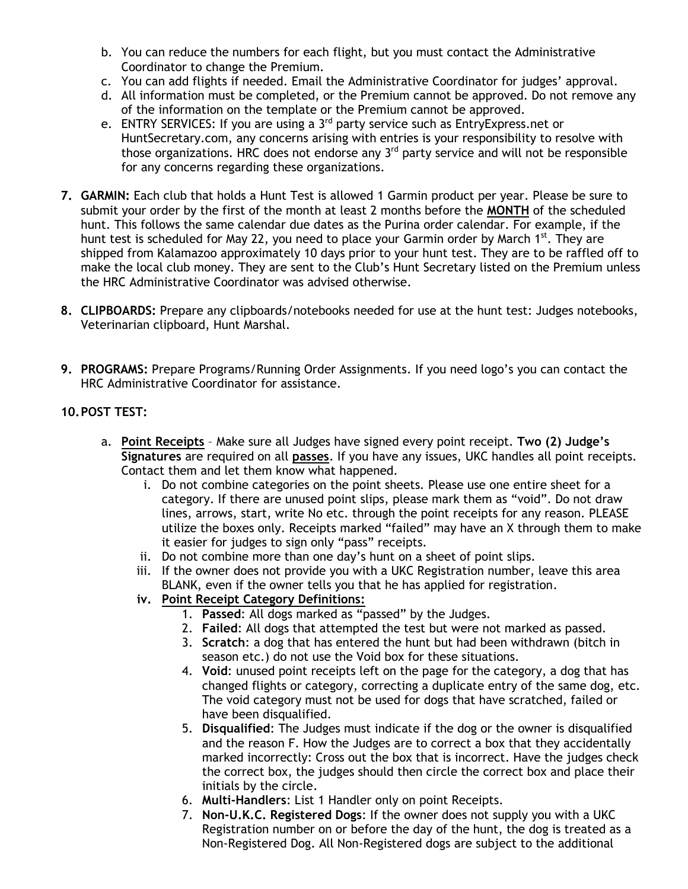- b. You can reduce the numbers for each flight, but you must contact the Administrative Coordinator to change the Premium.
- c. You can add flights if needed. Email the Administrative Coordinator for judges' approval.
- d. All information must be completed, or the Premium cannot be approved. Do not remove any of the information on the template or the Premium cannot be approved.
- e. ENTRY SERVICES: If you are using a 3<sup>rd</sup> party service such as EntryExpress.net or HuntSecretary.com, any concerns arising with entries is your responsibility to resolve with those organizations. HRC does not endorse any  $3<sup>rd</sup>$  party service and will not be responsible for any concerns regarding these organizations.
- **7. GARMIN:** Each club that holds a Hunt Test is allowed 1 Garmin product per year. Please be sure to submit your order by the first of the month at least 2 months before the **MONTH** of the scheduled hunt. This follows the same calendar due dates as the Purina order calendar. For example, if the hunt test is scheduled for May 22, you need to place your Garmin order by March 1<sup>st</sup>. They are shipped from Kalamazoo approximately 10 days prior to your hunt test. They are to be raffled off to make the local club money. They are sent to the Club's Hunt Secretary listed on the Premium unless the HRC Administrative Coordinator was advised otherwise.
- **8. CLIPBOARDS:** Prepare any clipboards/notebooks needed for use at the hunt test: Judges notebooks, Veterinarian clipboard, Hunt Marshal.
- **9. PROGRAMS:** Prepare Programs/Running Order Assignments. If you need logo's you can contact the HRC Administrative Coordinator for assistance.
- **10.POST TEST:**
	- a. **Point Receipts** Make sure all Judges have signed every point receipt. **Two (2) Judge's Signatures** are required on all **passes**. If you have any issues, UKC handles all point receipts. Contact them and let them know what happened.
		- i. Do not combine categories on the point sheets. Please use one entire sheet for a category. If there are unused point slips, please mark them as "void". Do not draw lines, arrows, start, write No etc. through the point receipts for any reason. PLEASE utilize the boxes only. Receipts marked "failed" may have an X through them to make it easier for judges to sign only "pass" receipts.
		- ii. Do not combine more than one day's hunt on a sheet of point slips.
		- iii. If the owner does not provide you with a UKC Registration number, leave this area BLANK, even if the owner tells you that he has applied for registration.
		- **iv. Point Receipt Category Definitions:**
			- 1. **Passed**: All dogs marked as "passed" by the Judges.
			- 2. **Failed**: All dogs that attempted the test but were not marked as passed.
			- 3. **Scratch**: a dog that has entered the hunt but had been withdrawn (bitch in season etc.) do not use the Void box for these situations.
			- 4. **Void**: unused point receipts left on the page for the category, a dog that has changed flights or category, correcting a duplicate entry of the same dog, etc. The void category must not be used for dogs that have scratched, failed or have been disqualified.
			- 5. **Disqualified**: The Judges must indicate if the dog or the owner is disqualified and the reason F. How the Judges are to correct a box that they accidentally marked incorrectly: Cross out the box that is incorrect. Have the judges check the correct box, the judges should then circle the correct box and place their initials by the circle.
			- 6. **Multi-Handlers**: List 1 Handler only on point Receipts.
			- 7. **Non-U.K.C. Registered Dogs**: If the owner does not supply you with a UKC Registration number on or before the day of the hunt, the dog is treated as a Non-Registered Dog. All Non-Registered dogs are subject to the additional